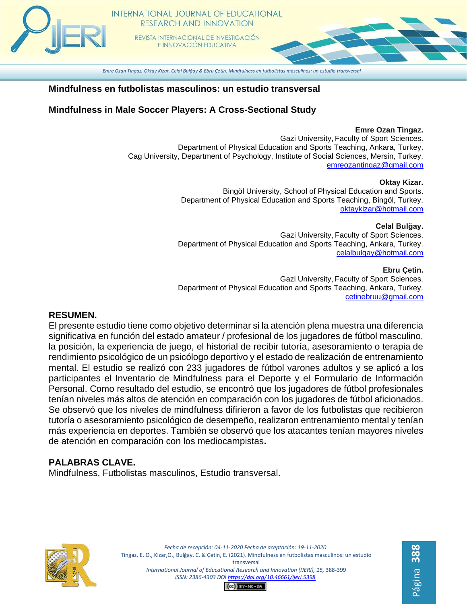*Emre Ozan Tingaz, Oktay Kizar, Celal Bulğay & Ebru Çetin. Mindfulness en futbolistas masculinos: un estudio transversal*

#### **Mindfulness en futbolistas masculinos: un estudio transversal**

# **Mindfulness in Male Soccer Players: A Cross-Sectional Study**

#### **Emre Ozan Tingaz.**

Gazi University, Faculty of Sport Sciences. Department of Physical Education and Sports Teaching, Ankara, Turkey. Cag University, Department of Psychology, Institute of Social Sciences, Mersin, Turkey. [emreozantingaz@gmail.com](mailto:emreozantingaz@gmail.com)

#### **Oktay Kizar.**

Bingöl University, School of Physical Education and Sports. Department of Physical Education and Sports Teaching, Bingöl, Turkey. [oktaykizar@hotmail.com](mailto:oktaykizar@hotmail.com)

**Celal Bulğay.**

Página **388**

Gazi University, Faculty of Sport Sciences. Department of Physical Education and Sports Teaching, Ankara, Turkey. [celalbulgay@hotmail.com](mailto:celalbulgay@hotmail.com)

**Ebru Çetin.** Gazi University, Faculty of Sport Sciences. Department of Physical Education and Sports Teaching, Ankara, Turkey. [cetinebruu@gmail.com](mailto:cetinebruu@gmail.com)

## **RESUMEN.**

El presente estudio tiene como objetivo determinar si la atención plena muestra una diferencia significativa en función del estado amateur / profesional de los jugadores de fútbol masculino, la posición, la experiencia de juego, el historial de recibir tutoría, asesoramiento o terapia de rendimiento psicológico de un psicólogo deportivo y el estado de realización de entrenamiento mental. El estudio se realizó con 233 jugadores de fútbol varones adultos y se aplicó a los participantes el Inventario de Mindfulness para el Deporte y el Formulario de Información Personal. Como resultado del estudio, se encontró que los jugadores de fútbol profesionales tenían niveles más altos de atención en comparación con los jugadores de fútbol aficionados. Se observó que los niveles de mindfulness difirieron a favor de los futbolistas que recibieron tutoría o asesoramiento psicológico de desempeño, realizaron entrenamiento mental y tenían más experiencia en deportes. También se observó que los atacantes tenían mayores niveles de atención en comparación con los mediocampistas**.** 

# **PALABRAS CLAVE.**

Mindfulness, Futbolistas masculinos, Estudio transversal.



*Fecha de recepción: 04-11-2020 Fecha de aceptación: 19-11-2020* Tingaz, E. O., Kizar,O., Bulğay, C. & Çetin, E. (2021). Mindfulness en futbolistas masculinos: un estudio transversal *International Journal of Educational Research and Innovation (IJERI), 15,* 388-399 *ISSN: 2386-4303 DO[I https://doi.org/10.46661/ijeri.5398](https://doi.org/10.46661/ijeri.5398)*

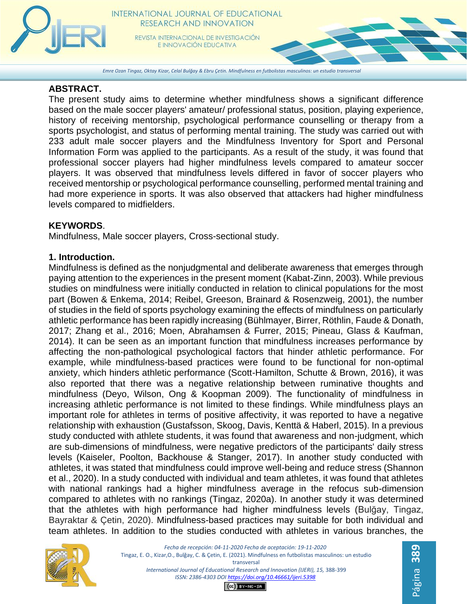

*Emre Ozan Tingaz, Oktay Kizar, Celal Bulğay & Ebru Çetin. Mindfulness en futbolistas masculinos: un estudio transversal*

#### **ABSTRACT.**

The present study aims to determine whether mindfulness shows a significant difference based on the male soccer players' amateur/ professional status, position, playing experience, history of receiving mentorship, psychological performance counselling or therapy from a sports psychologist, and status of performing mental training. The study was carried out with 233 adult male soccer players and the Mindfulness Inventory for Sport and Personal Information Form was applied to the participants. As a result of the study, it was found that professional soccer players had higher mindfulness levels compared to amateur soccer players. It was observed that mindfulness levels differed in favor of soccer players who received mentorship or psychological performance counselling, performed mental training and had more experience in sports. It was also observed that attackers had higher mindfulness levels compared to midfielders.

## **KEYWORDS**.

Mindfulness, Male soccer players, Cross-sectional study.

## **1. Introduction.**

Mindfulness is defined as the nonjudgmental and deliberate awareness that emerges through paying attention to the experiences in the present moment (Kabat-Zinn, 2003). While previous studies on mindfulness were initially conducted in relation to clinical populations for the most part (Bowen & Enkema, 2014; Reibel, Greeson, Brainard & Rosenzweig, 2001), the number of studies in the field of sports psychology examining the effects of mindfulness on particularly athletic performance has been rapidly increasing (Bühlmayer, Birrer, Röthlin, Faude & Donath, 2017; Zhang et al., 2016; Moen, Abrahamsen & Furrer, 2015; Pineau, Glass & Kaufman, 2014). It can be seen as an important function that mindfulness increases performance by affecting the non-pathological psychological factors that hinder athletic performance. For example, while mindfulness-based practices were found to be functional for non-optimal anxiety, which hinders athletic performance (Scott-Hamilton, Schutte & Brown, 2016), it was also reported that there was a negative relationship between ruminative thoughts and mindfulness (Deyo, Wilson, Ong & Koopman 2009). The functionality of mindfulness in increasing athletic performance is not limited to these findings. While mindfulness plays an important role for athletes in terms of positive affectivity, it was reported to have a negative relationship with exhaustion (Gustafsson, Skoog, Davis, Kenttä & Haberl, 2015). In a previous study conducted with athlete students, it was found that awareness and non-judgment, which are sub-dimensions of mindfulness, were negative predictors of the participants' daily stress levels (Kaiseler, Poolton, Backhouse & Stanger, 2017). In another study conducted with athletes, it was stated that mindfulness could improve well-being and reduce stress (Shannon et al., 2020). In a study conducted with individual and team athletes, it was found that athletes with national rankings had a higher mindfulness average in the refocus sub-dimension compared to athletes with no rankings (Tingaz, 2020a). In another study it was determined that the athletes with high performance had higher mindfulness levels (Bulğay, Tingaz, Bayraktar & Çetin, 2020). Mindfulness-based practices may suitable for both individual and team athletes. In addition to the studies conducted with athletes in various branches, the

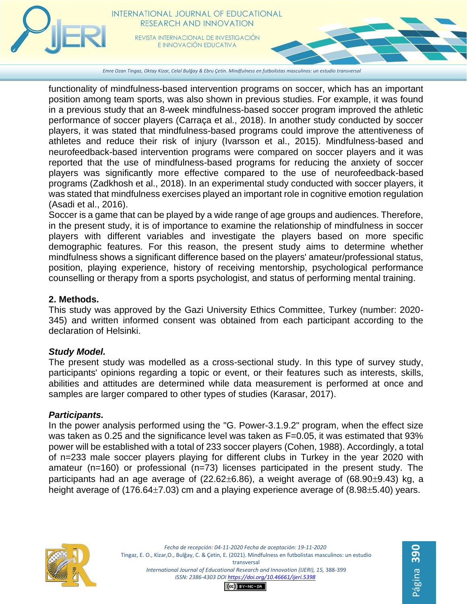

functionality of mindfulness-based intervention programs on soccer, which has an important position among team sports, was also shown in previous studies. For example, it was found in a previous study that an 8-week mindfulness-based soccer program improved the athletic performance of soccer players (Carraça et al., 2018). In another study conducted by soccer

players, it was stated that mindfulness-based programs could improve the attentiveness of athletes and reduce their risk of injury (Ivarsson et al., 2015). Mindfulness-based and neurofeedback-based intervention programs were compared on soccer players and it was reported that the use of mindfulness-based programs for reducing the anxiety of soccer players was significantly more effective compared to the use of neurofeedback-based programs (Zadkhosh et al., 2018). In an experimental study conducted with soccer players, it was stated that mindfulness exercises played an important role in cognitive emotion regulation (Asadi et al., 2016).

Soccer is a game that can be played by a wide range of age groups and audiences. Therefore, in the present study, it is of importance to examine the relationship of mindfulness in soccer players with different variables and investigate the players based on more specific demographic features. For this reason, the present study aims to determine whether mindfulness shows a significant difference based on the players' amateur/professional status, position, playing experience, history of receiving mentorship, psychological performance counselling or therapy from a sports psychologist, and status of performing mental training.

# **2. Methods.**

This study was approved by the Gazi University Ethics Committee, Turkey (number: 2020- 345) and written informed consent was obtained from each participant according to the declaration of Helsinki.

# *Study Model.*

The present study was modelled as a cross-sectional study. In this type of survey study, participants' opinions regarding a topic or event, or their features such as interests, skills, abilities and attitudes are determined while data measurement is performed at once and samples are larger compared to other types of studies (Karasar, 2017).

# *Participants.*

In the power analysis performed using the "G. Power-3.1.9.2" program, when the effect size was taken as 0.25 and the significance level was taken as F=0.05, it was estimated that 93% power will be established with a total of 233 soccer players (Cohen, 1988). Accordingly, a total of n=233 male soccer players playing for different clubs in Turkey in the year 2020 with amateur (n=160) or professional (n=73) licenses participated in the present study. The participants had an age average of  $(22.62\pm6.86)$ , a weight average of  $(68.90\pm9.43)$  kg, a height average of (176.64 $\pm$ 7.03) cm and a playing experience average of (8.98 $\pm$ 5.40) years.





 $CO$  $EY-NC-SA$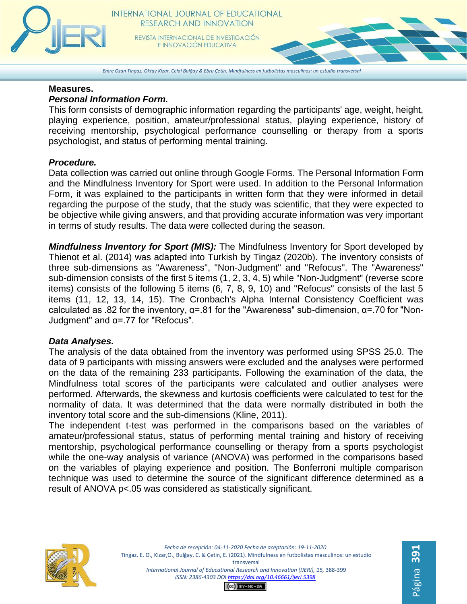

# INTERNATIONAL JOURNAL OF EDUCATIONAL RESEARCH AND INNOVATION

REVISTA INTERNACIONAL DE INVESTIGACIÓN E INNOVACIÓN EDUCATIVA

*Emre Ozan Tingaz, Oktay Kizar, Celal Bulğay & Ebru Çetin. Mindfulness en futbolistas masculinos: un estudio transversal*

#### **Measures.**

#### *Personal Information Form.*

This form consists of demographic information regarding the participants' age, weight, height, playing experience, position, amateur/professional status, playing experience, history of receiving mentorship, psychological performance counselling or therapy from a sports psychologist, and status of performing mental training.

## *Procedure.*

Data collection was carried out online through Google Forms. The Personal Information Form and the Mindfulness Inventory for Sport were used. In addition to the Personal Information Form, it was explained to the participants in written form that they were informed in detail regarding the purpose of the study, that the study was scientific, that they were expected to be objective while giving answers, and that providing accurate information was very important in terms of study results. The data were collected during the season.

*Mindfulness Inventory for Sport (MIS):* The Mindfulness Inventory for Sport developed by Thienot et al. (2014) was adapted into Turkish by Tingaz (2020b). The inventory consists of three sub-dimensions as "Awareness", "Non-Judgment" and "Refocus". The "Awareness" sub-dimension consists of the first 5 items  $(1, 2, 3, 4, 5)$  while "Non-Judgment" (reverse score items) consists of the following 5 items (6, 7, 8, 9, 10) and "Refocus" consists of the last 5 items (11, 12, 13, 14, 15). The Cronbach's Alpha Internal Consistency Coefficient was calculated as .82 for the inventory, α=.81 for the "Awareness" sub-dimension, α=.70 for "Non-Judgment" and α=.77 for "Refocus".

## *Data Analyses.*

The analysis of the data obtained from the inventory was performed using SPSS 25.0. The data of 9 participants with missing answers were excluded and the analyses were performed on the data of the remaining 233 participants. Following the examination of the data, the Mindfulness total scores of the participants were calculated and outlier analyses were performed. Afterwards, the skewness and kurtosis coefficients were calculated to test for the normality of data. It was determined that the data were normally distributed in both the inventory total score and the sub-dimensions (Kline, 2011).

The independent t-test was performed in the comparisons based on the variables of amateur/professional status, status of performing mental training and history of receiving mentorship, psychological performance counselling or therapy from a sports psychologist while the one-way analysis of variance (ANOVA) was performed in the comparisons based on the variables of playing experience and position. The Bonferroni multiple comparison technique was used to determine the source of the significant difference determined as a result of ANOVA p<.05 was considered as statistically significant.



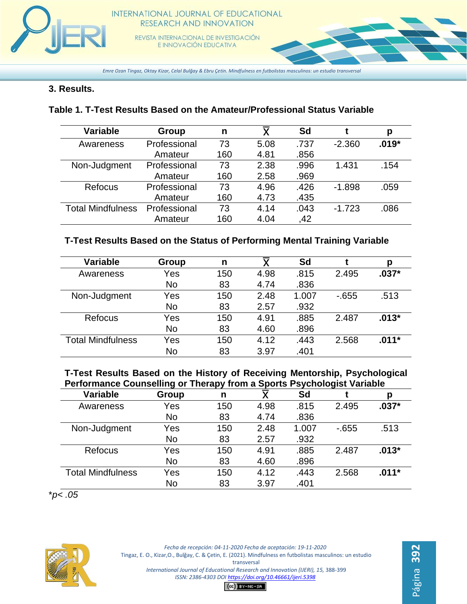

*Emre Ozan Tingaz, Oktay Kizar, Celal Bulğay & Ebru Çetin. Mindfulness en futbolistas masculinos: un estudio transversal*

# **3. Results.**

# **Table 1. T-Test Results Based on the Amateur/Professional Status Variable**

| <b>Variable</b>          | Group        | n   | $\overline{\mathsf{x}}$ | Sd   |          | р       |
|--------------------------|--------------|-----|-------------------------|------|----------|---------|
| Awareness                | Professional | 73  | 5.08                    | .737 | $-2.360$ | $.019*$ |
|                          | Amateur      | 160 | 4.81                    | .856 |          |         |
| Non-Judgment             | Professional | 73  | 2.38                    | .996 | 1.431    | .154    |
|                          | Amateur      | 160 | 2.58                    | .969 |          |         |
| <b>Refocus</b>           | Professional | 73  | 4.96                    | .426 | $-1.898$ | .059    |
|                          | Amateur      | 160 | 4.73                    | .435 |          |         |
| <b>Total Mindfulness</b> | Professional | 73  | 4.14                    | .043 | $-1.723$ | .086    |
|                          | Amateur      | 160 | 4.04                    | .42  |          |         |

# **T-Test Results Based on the Status of Performing Mental Training Variable**

| <b>Variable</b>          | Group | n   |      | Sd    |        | р       |
|--------------------------|-------|-----|------|-------|--------|---------|
| Awareness                | Yes   | 150 | 4.98 | .815  | 2.495  | $.037*$ |
|                          | No    | 83  | 4.74 | .836  |        |         |
| Non-Judgment             | Yes   | 150 | 2.48 | 1.007 | $-655$ | .513    |
|                          | No    | 83  | 2.57 | .932  |        |         |
| <b>Refocus</b>           | Yes   | 150 | 4.91 | .885  | 2.487  | $.013*$ |
|                          | No    | 83  | 4.60 | .896  |        |         |
| <b>Total Mindfulness</b> | Yes   | 150 | 4.12 | .443  | 2.568  | $.011*$ |
|                          | No    | 83  | 3.97 | .401  |        |         |

**T-Test Results Based on the History of Receiving Mentorship, Psychological Performance Counselling or Therapy from a Sports Psychologist Variable**

| <b>Variable</b>          | Group     | n   | $\overline{\mathsf{x}}$ | Sd    |        | р       |
|--------------------------|-----------|-----|-------------------------|-------|--------|---------|
| Awareness                | Yes       | 150 | 4.98                    | .815  | 2.495  | $.037*$ |
|                          | <b>No</b> | 83  | 4.74                    | .836  |        |         |
| Non-Judgment             | Yes       | 150 | 2.48                    | 1.007 | $-655$ | .513    |
|                          | <b>No</b> | 83  | 2.57                    | .932  |        |         |
| Refocus                  | Yes       | 150 | 4.91                    | .885  | 2.487  | $.013*$ |
|                          | No        | 83  | 4.60                    | .896  |        |         |
| <b>Total Mindfulness</b> | Yes       | 150 | 4.12                    | .443  | 2.568  | $.011*$ |
|                          | No        | 83  | 3.97                    | .401  |        |         |

\**p< .05*



*Fecha de recepción: 04-11-2020 Fecha de aceptación: 19-11-2020* Tingaz, E. O., Kizar,O., Bulğay, C. & Çetin, E. (2021). Mindfulness en futbolistas masculinos: un estudio transversal *International Journal of Educational Research and Innovation (IJERI), 15,* 388-399 *ISSN: 2386-4303 DO[I https://doi.org/10.46661/ijeri.5398](https://doi.org/10.46661/ijeri.5398)*

Página **392**

 $(G)$  BY-NC-SA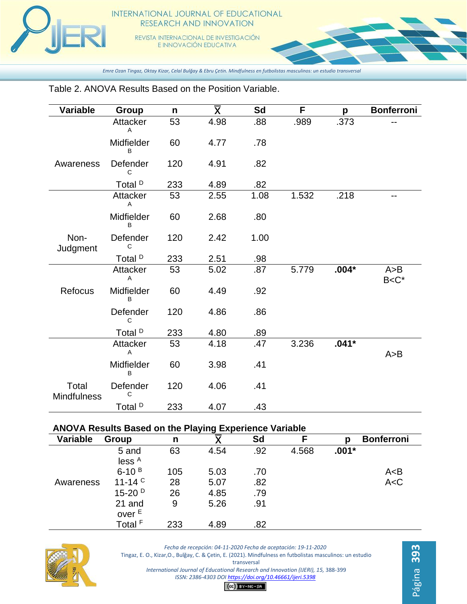

#### INTERNATIONAL JOURNAL OF EDUCATIONAL RESEARCH AND INNOVATION

REVISTA INTERNACIONAL DE INVESTIGACIÓN E INNOVACIÓN EDUCATIVA

*Emre Ozan Tingaz, Oktay Kizar, Celal Bulğay & Ebru Çetin. Mindfulness en futbolistas masculinos: un estudio transversal*

#### **Variable Group n Sd F p Bonferroni Attacker** A 53 4.98 .88 .989 .373 -- Midfielder B 60 4.77 .78 Awareness Defender  $\cap$ 120 4.91 .82 Total <sup>D</sup> 233 4.89 .82 Attacker A 53 2.55 1.08 1.532 .218 -- Midfielder B 60 2.68 .80 Non-**Judgment** Defender  $\mathsf{C}$ 120 2.42 1.00 Total <sup>D</sup> 233 2.51 .98 **Attacker** A 53 5.02 .87 5.779 **.004\*** A>B B<C\* Refocus Midfielder B 60 4.49 .92 Defender  $\mathsf{C}$ 120 4.86 .86 Total <sup>D</sup> 233 4.80 .89 **Attacker** A 53 4.18 .47 3.236 **.041\***  $A > B$ Midfielder B 60 3.98 .41 Total **Mindfulness** Defender  $\mathcal{C}$ 120 4.06 .41 Total <sup>D</sup> 233 4.07 .43

## Table 2. ANOVA Results Based on the Position Variable.

#### **ANOVA Results Based on the Playing Experience Variable**

| <b>Variable</b> | Group                       | n   |      | Sd  |       | р       | <b>Bonferroni</b> |
|-----------------|-----------------------------|-----|------|-----|-------|---------|-------------------|
|                 | 5 and<br>less <sup>A</sup>  | 63  | 4.54 | .92 | 4.568 | $.001*$ |                   |
|                 | $6-10^{B}$                  | 105 | 5.03 | .70 |       |         | A < B             |
| Awareness       | 11-14 $\degree$             | 28  | 5.07 | .82 |       |         | A < C             |
|                 | $15-20^{D}$                 | 26  | 4.85 | .79 |       |         |                   |
|                 | 21 and<br>over <sup>E</sup> | 9   | 5.26 | .91 |       |         |                   |
|                 | Total <sup>F</sup>          | 233 | 4.89 | .82 |       |         |                   |



*Fecha de recepción: 04-11-2020 Fecha de aceptación: 19-11-2020* Tingaz, E. O., Kizar,O., Bulğay, C. & Çetin, E. (2021). Mindfulness en futbolistas masculinos: un estudio transversal *International Journal of Educational Research and Innovation (IJERI), 15,* 388-399 *ISSN: 2386-4303 DO[I https://doi.org/10.46661/ijeri.5398](https://doi.org/10.46661/ijeri.5398)*

Página **393**

 $(G)$   $BY-NC-SA$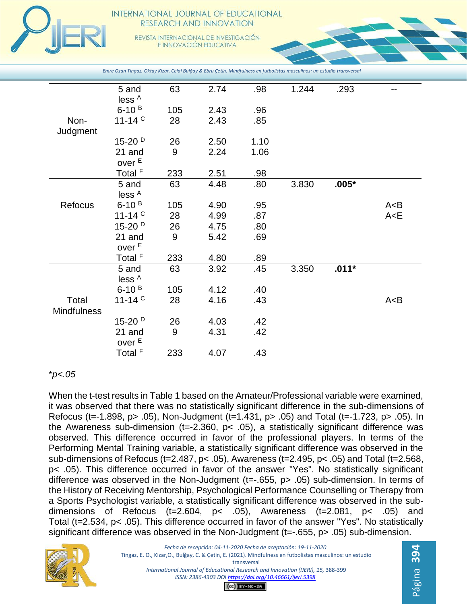

#### INTERNATIONAL JOURNAL OF EDUCATIONAL RESEARCH AND INNOVATION

REVISTA INTERNACIONAL DE INVESTIGACIÓN E INNOVACIÓN EDUCATIVA

|                             | 5 and<br>less <sup>A</sup>  | 63  | 2.74 | .98  | 1.244 | .293    | --    |
|-----------------------------|-----------------------------|-----|------|------|-------|---------|-------|
|                             | $6-10B$                     | 105 | 2.43 | .96  |       |         |       |
| Non-                        | 11-14 $C$                   | 28  | 2.43 | .85  |       |         |       |
| Judgment                    | $15-20^{D}$                 | 26  | 2.50 | 1.10 |       |         |       |
|                             | 21 and<br>over <sup>E</sup> | 9   | 2.24 | 1.06 |       |         |       |
|                             | Total <sup>F</sup>          | 233 | 2.51 | .98  |       |         |       |
|                             | 5 and<br>less <sup>A</sup>  | 63  | 4.48 | .80  | 3.830 | $.005*$ |       |
| Refocus                     | $6-10^{B}$                  | 105 | 4.90 | .95  |       |         | A < B |
|                             | 11-14 $C$                   | 28  | 4.99 | .87  |       |         | A < E |
|                             | $15-20^{D}$                 | 26  | 4.75 | .80  |       |         |       |
|                             | 21 and<br>over <sup>E</sup> | 9   | 5.42 | .69  |       |         |       |
|                             | Total <sup>F</sup>          | 233 | 4.80 | .89  |       |         |       |
|                             | 5 and<br>less <sup>A</sup>  | 63  | 3.92 | .45  | 3.350 | $.011*$ |       |
|                             | $6 - 10^{B}$                | 105 | 4.12 | .40  |       |         |       |
| Total<br><b>Mindfulness</b> | 11-14 $^{\circ}$            | 28  | 4.16 | .43  |       |         | A < B |
|                             | $15-20D$                    | 26  | 4.03 | .42  |       |         |       |
|                             | 21 and<br>over <sup>E</sup> | 9   | 4.31 | .42  |       |         |       |
|                             | Total <sup>F</sup>          | 233 | 4.07 | .43  |       |         |       |

\**p<.05*

When the t-test results in Table 1 based on the Amateur/Professional variable were examined, it was observed that there was no statistically significant difference in the sub-dimensions of Refocus (t=-1.898, p> .05), Non-Judgment (t=1.431, p> .05) and Total (t=-1.723, p> .05). In the Awareness sub-dimension ( $t = -2.360$ ,  $p < .05$ ), a statistically significant difference was observed. This difference occurred in favor of the professional players. In terms of the Performing Mental Training variable, a statistically significant difference was observed in the sub-dimensions of Refocus (t=2.487, p< .05), Awareness (t=2.495, p< .05) and Total (t=2.568, p< .05). This difference occurred in favor of the answer "Yes". No statistically significant difference was observed in the Non-Judgment (t=-.655, p> .05) sub-dimension. In terms of the History of Receiving Mentorship, Psychological Performance Counselling or Therapy from a Sports Psychologist variable, a statistically significant difference was observed in the subdimensions of Refocus (t=2.604,  $p$ < .05), Awareness (t=2.081,  $p$ < .05) and Total (t=2.534, p< .05). This difference occurred in favor of the answer "Yes". No statistically significant difference was observed in the Non-Judgment (t=-.655, p> .05) sub-dimension.

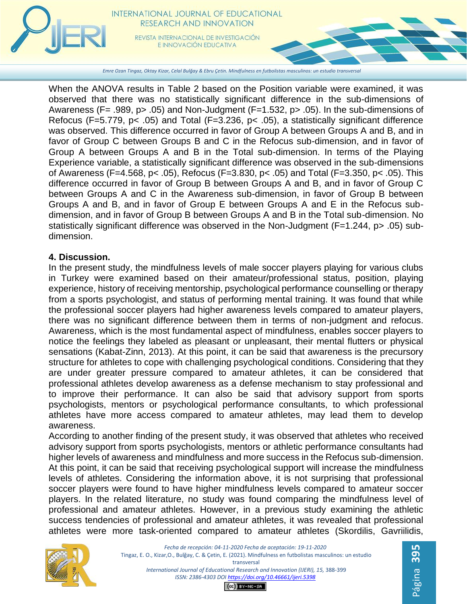

*Emre Ozan Tingaz, Oktay Kizar, Celal Bulğay & Ebru Çetin. Mindfulness en futbolistas masculinos: un estudio transversal*

When the ANOVA results in Table 2 based on the Position variable were examined, it was observed that there was no statistically significant difference in the sub-dimensions of Awareness (F= .989,  $p$  > .05) and Non-Judgment (F=1.532,  $p$  > .05). In the sub-dimensions of Refocus (F=5.779, p< .05) and Total (F=3.236, p< .05), a statistically significant difference was observed. This difference occurred in favor of Group A between Groups A and B, and in favor of Group C between Groups B and C in the Refocus sub-dimension, and in favor of Group A between Groups A and B in the Total sub-dimension. In terms of the Playing Experience variable, a statistically significant difference was observed in the sub-dimensions of Awareness (F=4.568, p< .05), Refocus (F=3.830, p< .05) and Total (F=3.350, p< .05). This difference occurred in favor of Group B between Groups A and B, and in favor of Group C between Groups A and C in the Awareness sub-dimension, in favor of Group B between Groups A and B, and in favor of Group E between Groups A and E in the Refocus subdimension, and in favor of Group B between Groups A and B in the Total sub-dimension. No statistically significant difference was observed in the Non-Judgment (F=1.244, p> .05) subdimension.

## **4. Discussion.**

In the present study, the mindfulness levels of male soccer players playing for various clubs in Turkey were examined based on their amateur/professional status, position, playing experience, history of receiving mentorship, psychological performance counselling or therapy from a sports psychologist, and status of performing mental training. It was found that while the professional soccer players had higher awareness levels compared to amateur players, there was no significant difference between them in terms of non-judgment and refocus. Awareness, which is the most fundamental aspect of mindfulness, enables soccer players to notice the feelings they labeled as pleasant or unpleasant, their mental flutters or physical sensations (Kabat-Zinn, 2013). At this point, it can be said that awareness is the precursory structure for athletes to cope with challenging psychological conditions. Considering that they are under greater pressure compared to amateur athletes, it can be considered that professional athletes develop awareness as a defense mechanism to stay professional and to improve their performance. It can also be said that advisory support from sports psychologists, mentors or psychological performance consultants, to which professional athletes have more access compared to amateur athletes, may lead them to develop awareness.

According to another finding of the present study, it was observed that athletes who received advisory support from sports psychologists, mentors or athletic performance consultants had higher levels of awareness and mindfulness and more success in the Refocus sub-dimension. At this point, it can be said that receiving psychological support will increase the mindfulness levels of athletes. Considering the information above, it is not surprising that professional soccer players were found to have higher mindfulness levels compared to amateur soccer players. In the related literature, no study was found comparing the mindfulness level of professional and amateur athletes. However, in a previous study examining the athletic success tendencies of professional and amateur athletes, it was revealed that professional athletes were more task-oriented compared to amateur athletes (Skordilis, Gavriilidis,



*Fecha de recepción: 04-11-2020 Fecha de aceptación: 19-11-2020* Tingaz, E. O., Kizar,O., Bulğay, C. & Çetin, E. (2021). Mindfulness en futbolistas masculinos: un estudio transversal *International Journal of Educational Research and Innovation (IJERI), 15,* 388-399 *ISSN: 2386-4303 DO[I https://doi.org/10.46661/ijeri.5398](https://doi.org/10.46661/ijeri.5398)*

 $(G)$  BY-NC-SA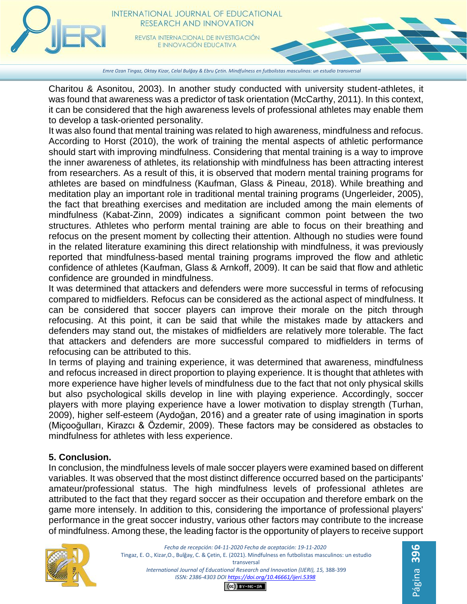

*Emre Ozan Tingaz, Oktay Kizar, Celal Bulğay & Ebru Çetin. Mindfulness en futbolistas masculinos: un estudio transversal*

Charitou & Asonitou, 2003). In another study conducted with university student-athletes, it was found that awareness was a predictor of task orientation (McCarthy, 2011). In this context, it can be considered that the high awareness levels of professional athletes may enable them to develop a task-oriented personality.

It was also found that mental training was related to high awareness, mindfulness and refocus. According to Horst (2010), the work of training the mental aspects of athletic performance should start with improving mindfulness. Considering that mental training is a way to improve the inner awareness of athletes, its relationship with mindfulness has been attracting interest from researchers. As a result of this, it is observed that modern mental training programs for athletes are based on mindfulness (Kaufman, Glass & Pineau, 2018). While breathing and meditation play an important role in traditional mental training programs (Ungerleider, 2005), the fact that breathing exercises and meditation are included among the main elements of mindfulness (Kabat-Zinn, 2009) indicates a significant common point between the two structures. Athletes who perform mental training are able to focus on their breathing and refocus on the present moment by collecting their attention. Although no studies were found in the related literature examining this direct relationship with mindfulness, it was previously reported that mindfulness-based mental training programs improved the flow and athletic confidence of athletes (Kaufman, Glass & Arnkoff, 2009). It can be said that flow and athletic confidence are grounded in mindfulness.

It was determined that attackers and defenders were more successful in terms of refocusing compared to midfielders. Refocus can be considered as the actional aspect of mindfulness. It can be considered that soccer players can improve their morale on the pitch through refocusing. At this point, it can be said that while the mistakes made by attackers and defenders may stand out, the mistakes of midfielders are relatively more tolerable. The fact that attackers and defenders are more successful compared to midfielders in terms of refocusing can be attributed to this.

In terms of playing and training experience, it was determined that awareness, mindfulness and refocus increased in direct proportion to playing experience. It is thought that athletes with more experience have higher levels of mindfulness due to the fact that not only physical skills but also psychological skills develop in line with playing experience. Accordingly, soccer players with more playing experience have a lower motivation to display strength (Turhan, 2009), higher self-esteem (Aydoğan, 2016) and a greater rate of using imagination in sports (Miçooğulları, Kirazcı & Özdemir, 2009). These factors may be considered as obstacles to mindfulness for athletes with less experience.

## **5. Conclusion.**

In conclusion, the mindfulness levels of male soccer players were examined based on different variables. It was observed that the most distinct difference occurred based on the participants' amateur/professional status. The high mindfulness levels of professional athletes are attributed to the fact that they regard soccer as their occupation and therefore embark on the game more intensely. In addition to this, considering the importance of professional players' performance in the great soccer industry, various other factors may contribute to the increase of mindfulness. Among these, the leading factor is the opportunity of players to receive support



*Fecha de recepción: 04-11-2020 Fecha de aceptación: 19-11-2020* Tingaz, E. O., Kizar,O., Bulğay, C. & Çetin, E. (2021). Mindfulness en futbolistas masculinos: un estudio transversal *International Journal of Educational Research and Innovation (IJERI), 15,* 388-399 *ISSN: 2386-4303 DO[I https://doi.org/10.46661/ijeri.5398](https://doi.org/10.46661/ijeri.5398)*  $CO$  $EY-NC-SA$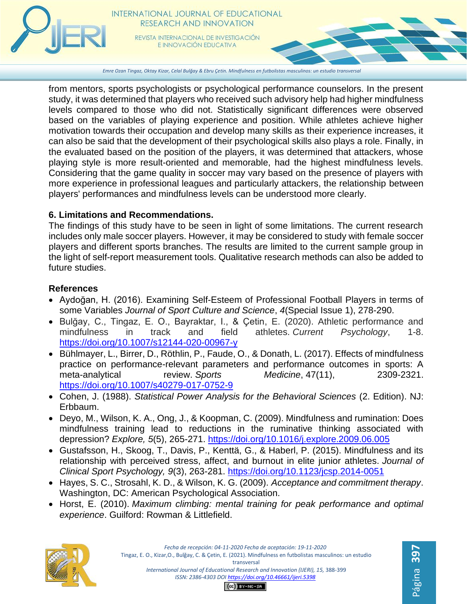

*Emre Ozan Tingaz, Oktay Kizar, Celal Bulğay & Ebru Çetin. Mindfulness en futbolistas masculinos: un estudio transversal*

from mentors, sports psychologists or psychological performance counselors. In the present study, it was determined that players who received such advisory help had higher mindfulness levels compared to those who did not. Statistically significant differences were observed based on the variables of playing experience and position. While athletes achieve higher motivation towards their occupation and develop many skills as their experience increases, it can also be said that the development of their psychological skills also plays a role. Finally, in the evaluated based on the position of the players, it was determined that attackers, whose playing style is more result-oriented and memorable, had the highest mindfulness levels. Considering that the game quality in soccer may vary based on the presence of players with more experience in professional leagues and particularly attackers, the relationship between players' performances and mindfulness levels can be understood more clearly.

# **6. Limitations and Recommendations.**

The findings of this study have to be seen in light of some limitations. The current research includes only male soccer players. However, it may be considered to study with female soccer players and different sports branches. The results are limited to the current sample group in the light of self-report measurement tools. Qualitative research methods can also be added to future studies.

## **References**

- Aydoğan, H. (2016). Examining Self-Esteem of Professional Football Players in terms of some Variables *Journal of Sport Culture and Science*, *4*(Special Issue 1), 278-290.
- Bulğay, C., Tingaz, E. O., Bayraktar, I., & Çetin, E. (2020). Athletic performance and mindfulness in track and field athletes. *Current Psychology*, 1-8. <https://doi.org/10.1007/s12144-020-00967-y>
- Bühlmayer, L., Birrer, D., Röthlin, P., Faude, O., & Donath, L. (2017). Effects of mindfulness practice on performance-relevant parameters and performance outcomes in sports: A meta-analytical review. *Sports Medicine*, 47(11), 2309-2321. <https://doi.org/10.1007/s40279-017-0752-9>
- Cohen, J. (1988). *Statistical Power Analysis for the Behavioral Sciences* (2. Edition). NJ: Erbbaum.
- Deyo, M., Wilson, K. A., Ong, J., & Koopman, C. (2009). Mindfulness and rumination: Does mindfulness training lead to reductions in the ruminative thinking associated with depression? *Explore, 5*(5), 265-271.<https://doi.org/10.1016/j.explore.2009.06.005>
- Gustafsson, H., Skoog, T., Davis, P., Kenttä, G., & Haberl, P. (2015). Mindfulness and its relationship with perceived stress, affect, and burnout in elite junior athletes. *Journal of Clinical Sport Psychology, 9*(3), 263-281.<https://doi.org/10.1123/jcsp.2014-0051>
- Hayes, S. C., Strosahl, K. D., & Wilson, K. G. (2009). *Acceptance and commitment therapy*. Washington, DC: American Psychological Association.
- Horst, E. (2010). *Maximum climbing: mental training for peak performance and optimal experience*. Guilford: Rowman & Littlefield.



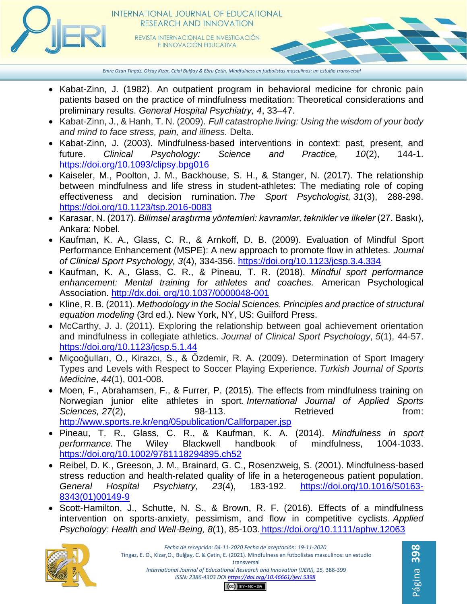

*Emre Ozan Tingaz, Oktay Kizar, Celal Bulğay & Ebru Çetin. Mindfulness en futbolistas masculinos: un estudio transversal*

- Kabat-Zinn, J. (1982). An outpatient program in behavioral medicine for chronic pain patients based on the practice of mindfulness meditation: Theoretical considerations and preliminary results. *General Hospital Psychiatry, 4*, 33–47.
- Kabat-Zinn, J., & Hanh, T. N. (2009). *Full catastrophe living: Using the wisdom of your body and mind to face stress, pain, and illness.* Delta.
- Kabat‐Zinn, J. (2003). Mindfulness‐based interventions in context: past, present, and future. *Clinical Psychology: Science and Practice, 10*(2), 144-1. <https://doi.org/10.1093/clipsy.bpg016>
- Kaiseler, M., Poolton, J. M., Backhouse, S. H., & Stanger, N. (2017). The relationship between mindfulness and life stress in student-athletes: The mediating role of coping effectiveness and decision rumination. *The Sport Psychologist, 31*(3), 288-298. <https://doi.org/10.1123/tsp.2016-0083>
- Karasar, N. (2017). *Bilimsel araştırma yöntemleri: kavramlar, teknikler ve ilkeler* (27. Baskı), Ankara: Nobel.
- Kaufman, K. A., Glass, C. R., & Arnkoff, D. B. (2009). Evaluation of Mindful Sport Performance Enhancement (MSPE): A new approach to promote flow in athletes. *Journal of Clinical Sport Psychology, 3*(4), 334-356.<https://doi.org/10.1123/jcsp.3.4.334>
- Kaufman, K. A., Glass, C. R., & Pineau, T. R. (2018). *Mindful sport performance enhancement: Mental training for athletes and coaches.* American Psychological Association. http://dx.doi. org/10.1037/0000048-001
- Kline, R. B. (2011). *Methodology in the Social Sciences. Principles and practice of structural equation modeling* (3rd ed.). New York, NY, US: Guilford Press.
- McCarthy, J. J. (2011). Exploring the relationship between goal achievement orientation and mindfulness in collegiate athletics. *Journal of Clinical Sport Psychology*, *5*(1), 44-57. <https://doi.org/10.1123/jcsp.5.1.44>
- Miçooğulları, O., Kirazcı, S., & Özdemir, R. A. (2009). Determination of Sport Imagery Types and Levels with Respect to Soccer Playing Experience. *Turkish Journal of Sports Medicine*, *44*(1), 001-008.
- Moen, F., Abrahamsen, F., & Furrer, P. (2015). The effects from mindfulness training on Norwegian junior elite athletes in sport. *International Journal of Applied Sports*  Sciences, 27(2), 98-113. Retrieved from: <http://www.sports.re.kr/eng/05publication/Callforpaper.jsp>
- Pineau, T. R., Glass, C. R., & Kaufman, K. A. (2014). *Mindfulness in sport performance.* The Wiley Blackwell handbook of mindfulness, 1004-1033. <https://doi.org/10.1002/9781118294895.ch52>
- Reibel, D. K., Greeson, J. M., Brainard, G. C., Rosenzweig, S. (2001). Mindfulness-based stress reduction and health-related quality of life in a heterogeneous patient population. *General Hospital Psychiatry, 23*(4), 183-192. [https://doi.org/10.1016/S0163-](https://doi.org/10.1016/S0163-8343(01)00149-9) [8343\(01\)00149-9](https://doi.org/10.1016/S0163-8343(01)00149-9)
- Scott-Hamilton, J., Schutte, N. S., & Brown, R. F. (2016). Effects of a mindfulness intervention on sports‐anxiety, pessimism, and flow in competitive cyclists. *Applied Psychology: Health and Well*‐*Being, 8*(1), 85-103. <https://doi.org/10.1111/aphw.12063>